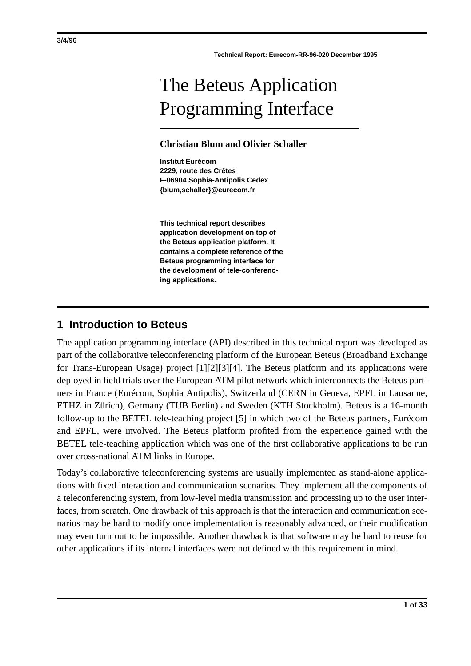# The Beteus Application Programming Interface

#### **Christian Blum and Olivier Schaller**

**Institut Eurécom 2229, route des Crêtes F-06904 Sophia-Antipolis Cedex {blum,schaller}@eurecom.fr**

**This technical report describes application development on top of the Beteus application platform. It contains a complete reference of the Beteus programming interface for the development of tele-conferencing applications.**

## **1 Introduction to Beteus**

The application programming interface (API) described in this technical report was developed as part of the collaborative teleconferencing platform of the European Beteus (Broadband Exchange for Trans-European Usage) project [1][2][3][4]. The Beteus platform and its applications were deployed in field trials over the European ATM pilot network which interconnects the Beteus partners in France (Eurécom, Sophia Antipolis), Switzerland (CERN in Geneva, EPFL in Lausanne, ETHZ in Zürich), Germany (TUB Berlin) and Sweden (KTH Stockholm). Beteus is a 16-month follow-up to the BETEL tele-teaching project [5] in which two of the Beteus partners, Eurécom and EPFL, were involved. The Beteus platform profited from the experience gained with the BETEL tele-teaching application which was one of the first collaborative applications to be run over cross-national ATM links in Europe.

Today's collaborative teleconferencing systems are usually implemented as stand-alone applications with fixed interaction and communication scenarios. They implement all the components of a teleconferencing system, from low-level media transmission and processing up to the user interfaces, from scratch. One drawback of this approach is that the interaction and communication scenarios may be hard to modify once implementation is reasonably advanced, or their modification may even turn out to be impossible. Another drawback is that software may be hard to reuse for other applications if its internal interfaces were not defined with this requirement in mind.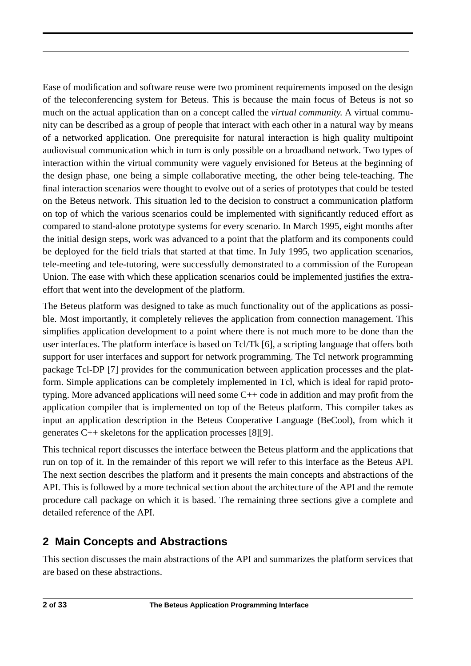Ease of modification and software reuse were two prominent requirements imposed on the design of the teleconferencing system for Beteus. This is because the main focus of Beteus is not so much on the actual application than on a concept called the *virtual community*. A virtual community can be described as a group of people that interact with each other in a natural way by means of a networked application. One prerequisite for natural interaction is high quality multipoint audiovisual communication which in turn is only possible on a broadband network. Two types of interaction within the virtual community were vaguely envisioned for Beteus at the beginning of the design phase, one being a simple collaborative meeting, the other being tele-teaching. The final interaction scenarios were thought to evolve out of a series of prototypes that could be tested on the Beteus network. This situation led to the decision to construct a communication platform on top of which the various scenarios could be implemented with significantly reduced effort as compared to stand-alone prototype systems for every scenario. In March 1995, eight months after the initial design steps, work was advanced to a point that the platform and its components could be deployed for the field trials that started at that time. In July 1995, two application scenarios, tele-meeting and tele-tutoring, were successfully demonstrated to a commission of the European Union. The ease with which these application scenarios could be implemented justifies the extraeffort that went into the development of the platform.

The Beteus platform was designed to take as much functionality out of the applications as possible. Most importantly, it completely relieves the application from connection management. This simplifies application development to a point where there is not much more to be done than the user interfaces. The platform interface is based on Tcl/Tk [6], a scripting language that offers both support for user interfaces and support for network programming. The Tcl network programming package Tcl-DP [7] provides for the communication between application processes and the platform. Simple applications can be completely implemented in Tcl, which is ideal for rapid prototyping. More advanced applications will need some C++ code in addition and may profit from the application compiler that is implemented on top of the Beteus platform. This compiler takes as input an application description in the Beteus Cooperative Language (BeCool), from which it generates C++ skeletons for the application processes [8][9].

This technical report discusses the interface between the Beteus platform and the applications that run on top of it. In the remainder of this report we will refer to this interface as the Beteus API. The next section describes the platform and it presents the main concepts and abstractions of the API. This is followed by a more technical section about the architecture of the API and the remote procedure call package on which it is based. The remaining three sections give a complete and detailed reference of the API.

# **2 Main Concepts and Abstractions**

This section discusses the main abstractions of the API and summarizes the platform services that are based on these abstractions.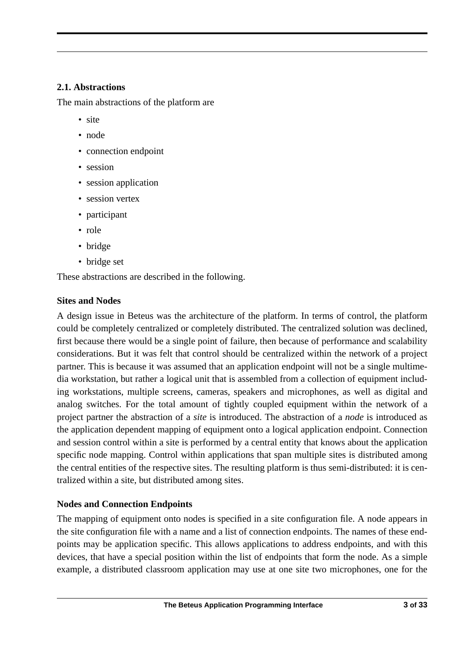## **2.1. Abstractions**

The main abstractions of the platform are

- site
- node
- connection endpoint
- session
- session application
- session vertex
- participant
- role
- bridge
- bridge set

These abstractions are described in the following.

## **Sites and Nodes**

A design issue in Beteus was the architecture of the platform. In terms of control, the platform could be completely centralized or completely distributed. The centralized solution was declined, first because there would be a single point of failure, then because of performance and scalability considerations. But it was felt that control should be centralized within the network of a project partner. This is because it was assumed that an application endpoint will not be a single multimedia workstation, but rather a logical unit that is assembled from a collection of equipment including workstations, multiple screens, cameras, speakers and microphones, as well as digital and analog switches. For the total amount of tightly coupled equipment within the network of a project partner the abstraction of a *site* is introduced. The abstraction of a *node* is introduced as the application dependent mapping of equipment onto a logical application endpoint. Connection and session control within a site is performed by a central entity that knows about the application specific node mapping. Control within applications that span multiple sites is distributed among the central entities of the respective sites. The resulting platform is thus semi-distributed: it is centralized within a site, but distributed among sites.

## **Nodes and Connection Endpoints**

The mapping of equipment onto nodes is specified in a site configuration file. A node appears in the site configuration file with a name and a list of connection endpoints. The names of these endpoints may be application specific. This allows applications to address endpoints, and with this devices, that have a special position within the list of endpoints that form the node. As a simple example, a distributed classroom application may use at one site two microphones, one for the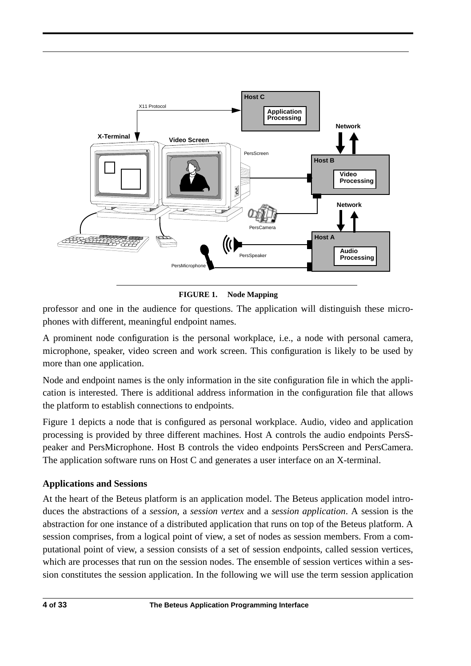

**FIGURE 1. Node Mapping**

professor and one in the audience for questions. The application will distinguish these microphones with different, meaningful endpoint names.

A prominent node configuration is the personal workplace, i.e., a node with personal camera, microphone, speaker, video screen and work screen. This configuration is likely to be used by more than one application.

Node and endpoint names is the only information in the site configuration file in which the application is interested. There is additional address information in the configuration file that allows the platform to establish connections to endpoints.

Figure 1 depicts a node that is configured as personal workplace. Audio, video and application processing is provided by three different machines. Host A controls the audio endpoints PersSpeaker and PersMicrophone. Host B controls the video endpoints PersScreen and PersCamera. The application software runs on Host C and generates a user interface on an X-terminal.

## **Applications and Sessions**

At the heart of the Beteus platform is an application model. The Beteus application model introduces the abstractions of a *session*, a *session vertex* and a *session application*. A session is the abstraction for one instance of a distributed application that runs on top of the Beteus platform. A session comprises, from a logical point of view, a set of nodes as session members. From a computational point of view, a session consists of a set of session endpoints, called session vertices, which are processes that run on the session nodes. The ensemble of session vertices within a session constitutes the session application. In the following we will use the term session application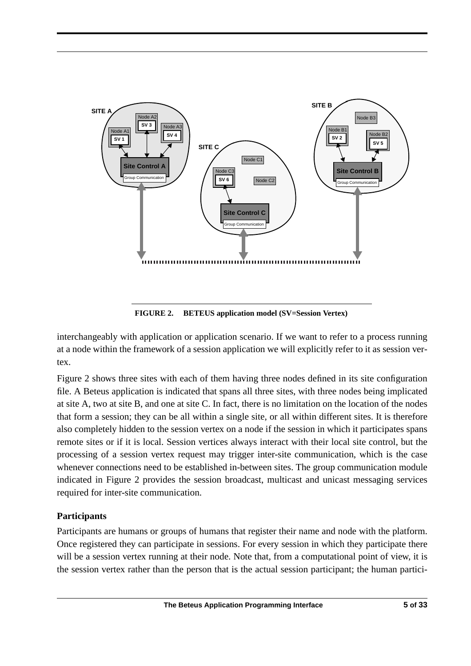

**FIGURE 2. BETEUS application model (SV=Session Vertex)**

interchangeably with application or application scenario. If we want to refer to a process running at a node within the framework of a session application we will explicitly refer to it as session vertex.

Figure 2 shows three sites with each of them having three nodes defined in its site configuration file. A Beteus application is indicated that spans all three sites, with three nodes being implicated at site A, two at site B, and one at site C. In fact, there is no limitation on the location of the nodes that form a session; they can be all within a single site, or all within different sites. It is therefore also completely hidden to the session vertex on a node if the session in which it participates spans remote sites or if it is local. Session vertices always interact with their local site control, but the processing of a session vertex request may trigger inter-site communication, which is the case whenever connections need to be established in-between sites. The group communication module indicated in Figure 2 provides the session broadcast, multicast and unicast messaging services required for inter-site communication.

## **Participants**

Participants are humans or groups of humans that register their name and node with the platform. Once registered they can participate in sessions. For every session in which they participate there will be a session vertex running at their node. Note that, from a computational point of view, it is the session vertex rather than the person that is the actual session participant; the human partici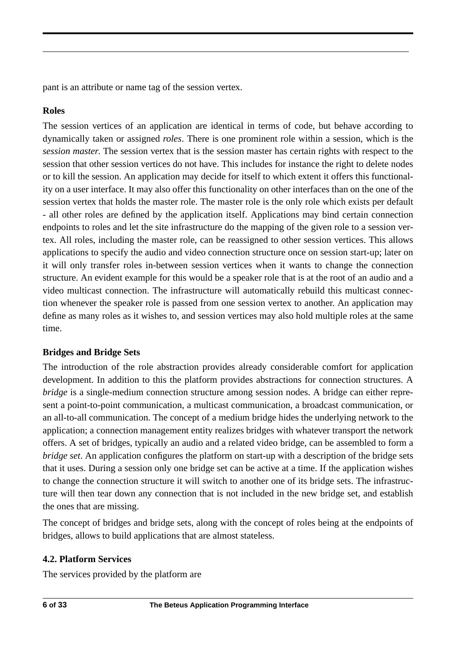pant is an attribute or name tag of the session vertex.

## **Roles**

The session vertices of an application are identical in terms of code, but behave according to dynamically taken or assigned *roles*. There is one prominent role within a session, which is the *session master*. The session vertex that is the session master has certain rights with respect to the session that other session vertices do not have. This includes for instance the right to delete nodes or to kill the session. An application may decide for itself to which extent it offers this functionality on a user interface. It may also offer this functionality on other interfaces than on the one of the session vertex that holds the master role. The master role is the only role which exists per default - all other roles are defined by the application itself. Applications may bind certain connection endpoints to roles and let the site infrastructure do the mapping of the given role to a session vertex. All roles, including the master role, can be reassigned to other session vertices. This allows applications to specify the audio and video connection structure once on session start-up; later on it will only transfer roles in-between session vertices when it wants to change the connection structure. An evident example for this would be a speaker role that is at the root of an audio and a video multicast connection. The infrastructure will automatically rebuild this multicast connection whenever the speaker role is passed from one session vertex to another. An application may define as many roles as it wishes to, and session vertices may also hold multiple roles at the same time.

## **Bridges and Bridge Sets**

The introduction of the role abstraction provides already considerable comfort for application development. In addition to this the platform provides abstractions for connection structures. A *bridge* is a single-medium connection structure among session nodes. A bridge can either represent a point-to-point communication, a multicast communication, a broadcast communication, or an all-to-all communication. The concept of a medium bridge hides the underlying network to the application; a connection management entity realizes bridges with whatever transport the network offers. A set of bridges, typically an audio and a related video bridge, can be assembled to form a *bridge set*. An application configures the platform on start-up with a description of the bridge sets that it uses. During a session only one bridge set can be active at a time. If the application wishes to change the connection structure it will switch to another one of its bridge sets. The infrastructure will then tear down any connection that is not included in the new bridge set, and establish the ones that are missing.

The concept of bridges and bridge sets, along with the concept of roles being at the endpoints of bridges, allows to build applications that are almost stateless.

#### **4.2. Platform Services**

The services provided by the platform are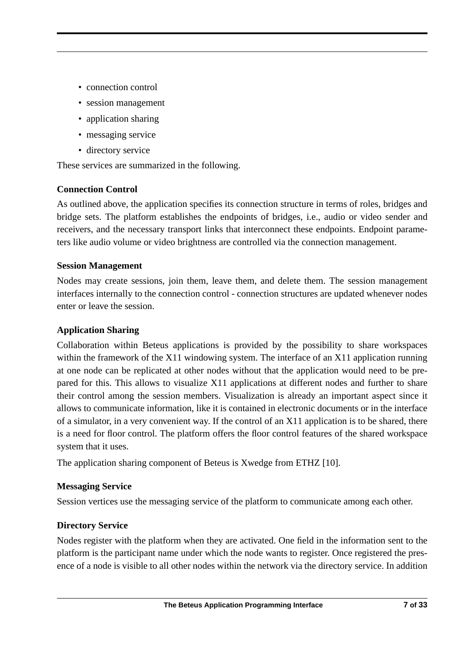- connection control
- session management
- application sharing
- messaging service
- directory service

These services are summarized in the following.

## **Connection Control**

As outlined above, the application specifies its connection structure in terms of roles, bridges and bridge sets. The platform establishes the endpoints of bridges, i.e., audio or video sender and receivers, and the necessary transport links that interconnect these endpoints. Endpoint parameters like audio volume or video brightness are controlled via the connection management.

## **Session Management**

Nodes may create sessions, join them, leave them, and delete them. The session management interfaces internally to the connection control - connection structures are updated whenever nodes enter or leave the session.

## **Application Sharing**

Collaboration within Beteus applications is provided by the possibility to share workspaces within the framework of the X11 windowing system. The interface of an X11 application running at one node can be replicated at other nodes without that the application would need to be prepared for this. This allows to visualize X11 applications at different nodes and further to share their control among the session members. Visualization is already an important aspect since it allows to communicate information, like it is contained in electronic documents or in the interface of a simulator, in a very convenient way. If the control of an X11 application is to be shared, there is a need for floor control. The platform offers the floor control features of the shared workspace system that it uses.

The application sharing component of Beteus is Xwedge from ETHZ [10].

## **Messaging Service**

Session vertices use the messaging service of the platform to communicate among each other.

## **Directory Service**

Nodes register with the platform when they are activated. One field in the information sent to the platform is the participant name under which the node wants to register. Once registered the presence of a node is visible to all other nodes within the network via the directory service. In addition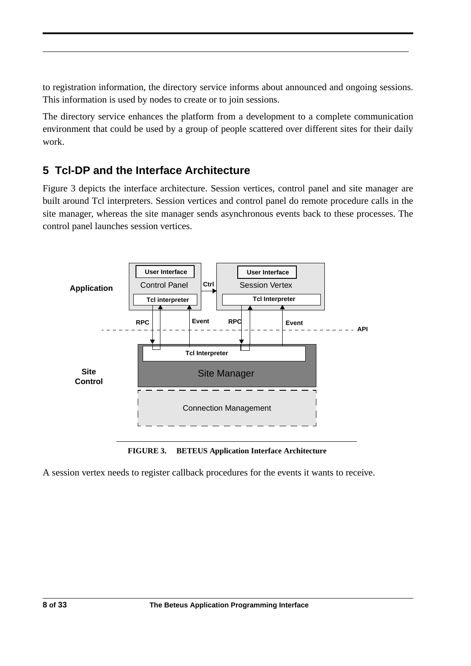to registration information, the directory service informs about announced and ongoing sessions. This information is used by nodes to create or to join sessions.

The directory service enhances the platform from a development to a complete communication environment that could be used by a group of people scattered over different sites for their daily work.

# **5 Tcl-DP and the Interface Architecture**

Figure 3 depicts the interface architecture. Session vertices, control panel and site manager are built around Tcl interpreters. Session vertices and control panel do remote procedure calls in the site manager, whereas the site manager sends asynchronous events back to these processes. The control panel launches session vertices.



**FIGURE 3. BETEUS Application Interface Architecture**

A session vertex needs to register callback procedures for the events it wants to receive.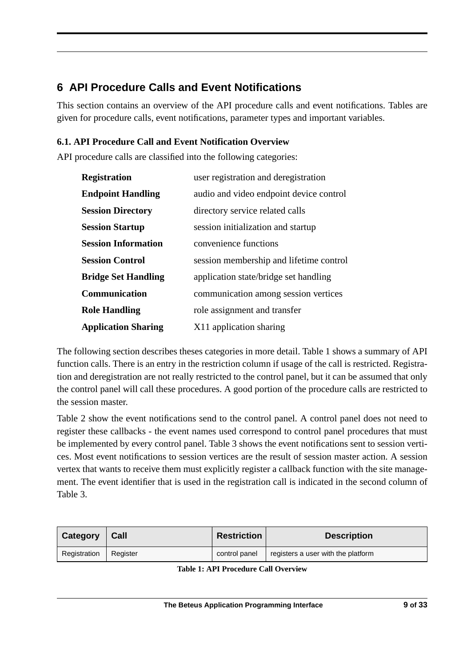# **6 API Procedure Calls and Event Notifications**

This section contains an overview of the API procedure calls and event notifications. Tables are given for procedure calls, event notifications, parameter types and important variables.

## **6.1. API Procedure Call and Event Notification Overview**

API procedure calls are classified into the following categories:

| <b>Registration</b>        | user registration and deregistration    |
|----------------------------|-----------------------------------------|
| <b>Endpoint Handling</b>   | audio and video endpoint device control |
| <b>Session Directory</b>   | directory service related calls         |
| <b>Session Startup</b>     | session initialization and startup      |
| <b>Session Information</b> | convenience functions                   |
| <b>Session Control</b>     | session membership and lifetime control |
| <b>Bridge Set Handling</b> | application state/bridge set handling   |
| Communication              | communication among session vertices    |
| <b>Role Handling</b>       | role assignment and transfer            |
| <b>Application Sharing</b> | X11 application sharing                 |

The following section describes theses categories in more detail. Table 1 shows a summary of API function calls. There is an entry in the restriction column if usage of the call is restricted. Registration and deregistration are not really restricted to the control panel, but it can be assumed that only the control panel will call these procedures. A good portion of the procedure calls are restricted to the session master.

Table 2 show the event notifications send to the control panel. A control panel does not need to register these callbacks - the event names used correspond to control panel procedures that must be implemented by every control panel. Table 3 shows the event notifications sent to session vertices. Most event notifications to session vertices are the result of session master action. A session vertex that wants to receive them must explicitly register a callback function with the site management. The event identifier that is used in the registration call is indicated in the second column of Table 3.

| Category     | Call     | <b>Restriction</b> | <b>Description</b>                 |
|--------------|----------|--------------------|------------------------------------|
| Registration | Register | control panel      | registers a user with the platform |

| <b>Table 1: API Procedure Call Overview</b> |  |  |  |
|---------------------------------------------|--|--|--|
|---------------------------------------------|--|--|--|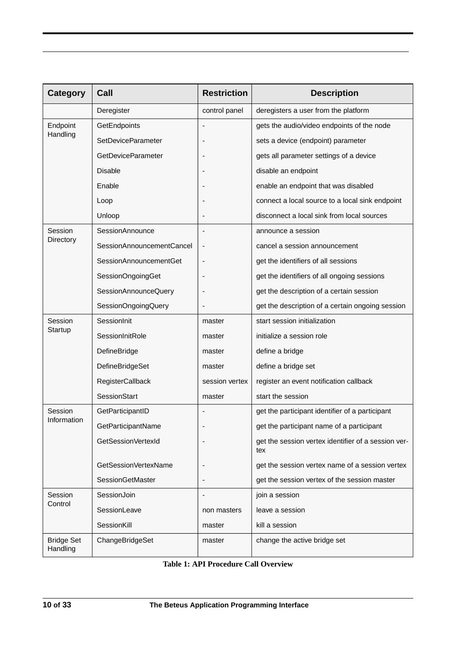| Category                      | Call                      | <b>Restriction</b>       | <b>Description</b>                                         |
|-------------------------------|---------------------------|--------------------------|------------------------------------------------------------|
|                               | Deregister                | control panel            | deregisters a user from the platform                       |
| Endpoint                      | GetEndpoints              | $\overline{\phantom{a}}$ | gets the audio/video endpoints of the node                 |
| Handling                      | <b>SetDeviceParameter</b> |                          | sets a device (endpoint) parameter                         |
|                               | <b>GetDeviceParameter</b> | $\overline{\phantom{a}}$ | gets all parameter settings of a device                    |
|                               | <b>Disable</b>            |                          | disable an endpoint                                        |
|                               | Enable                    |                          | enable an endpoint that was disabled                       |
|                               | Loop                      |                          | connect a local source to a local sink endpoint            |
|                               | Unloop                    |                          | disconnect a local sink from local sources                 |
| Session                       | SessionAnnounce           | $\overline{\phantom{a}}$ | announce a session                                         |
| Directory                     | SessionAnnouncementCancel | $\overline{\phantom{m}}$ | cancel a session announcement                              |
|                               | SessionAnnouncementGet    | $\overline{a}$           | get the identifiers of all sessions                        |
|                               | SessionOngoingGet         |                          | get the identifiers of all ongoing sessions                |
|                               | SessionAnnounceQuery      |                          | get the description of a certain session                   |
|                               | SessionOngoingQuery       |                          | get the description of a certain ongoing session           |
| Session                       | SessionInit               | master                   | start session initialization                               |
| Startup                       | SessionInitRole           | master                   | initialize a session role                                  |
|                               | DefineBridge              | master                   | define a bridge                                            |
|                               | <b>DefineBridgeSet</b>    | master                   | define a bridge set                                        |
|                               | RegisterCallback          | session vertex           | register an event notification callback                    |
|                               | SessionStart              | master                   | start the session                                          |
| Session                       | GetParticipantID          |                          | get the participant identifier of a participant            |
| Information                   | GetParticipantName        |                          | get the participant name of a participant                  |
|                               | GetSessionVertexId        |                          | get the session vertex identifier of a session ver-<br>tex |
|                               | GetSessionVertexName      |                          | get the session vertex name of a session vertex            |
|                               | SessionGetMaster          | $\overline{\phantom{a}}$ | get the session vertex of the session master               |
| Session                       | SessionJoin               |                          | join a session                                             |
| Control                       | SessionLeave              | non masters              | leave a session                                            |
|                               | SessionKill               | master                   | kill a session                                             |
| <b>Bridge Set</b><br>Handling | ChangeBridgeSet           | master                   | change the active bridge set                               |

**Table 1: API Procedure Call Overview**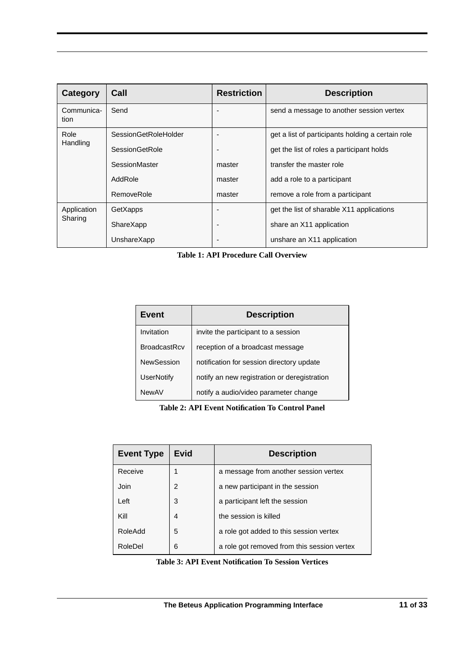| Category           | Call                 | <b>Restriction</b>       | <b>Description</b>                                |
|--------------------|----------------------|--------------------------|---------------------------------------------------|
| Communica-<br>tion | Send                 | $\overline{\phantom{0}}$ | send a message to another session vertex          |
| Role               | SessionGetRoleHolder | $\overline{\phantom{0}}$ | get a list of participants holding a certain role |
| Handling           | SessionGetRole       | ٠                        | get the list of roles a participant holds         |
|                    | SessionMaster        | master                   | transfer the master role                          |
|                    | AddRole              | master                   | add a role to a participant                       |
|                    | RemoveRole           | master                   | remove a role from a participant                  |
| Application        | GetXapps             | $\overline{\phantom{0}}$ | get the list of sharable X11 applications         |
| Sharing            | ShareXapp            | ٠                        | share an X11 application                          |
|                    | UnshareXapp          | $\overline{\phantom{a}}$ | unshare an X11 application                        |

**Table 1: API Procedure Call Overview**

| Event               | <b>Description</b>                           |  |
|---------------------|----------------------------------------------|--|
| Invitation          | invite the participant to a session          |  |
| <b>BroadcastRcv</b> | reception of a broadcast message             |  |
| <b>NewSession</b>   | notification for session directory update    |  |
| <b>UserNotify</b>   | notify an new registration or deregistration |  |
| <b>NewAV</b>        | notify a audio/video parameter change        |  |

**Table 2: API Event Notification To Control Panel**

| <b>Event Type</b> | Evid | <b>Description</b>                          |
|-------------------|------|---------------------------------------------|
| Receive           | 1    | a message from another session vertex       |
| Join              | 2    | a new participant in the session            |
| Left              | 3    | a participant left the session              |
| Kill              | 4    | the session is killed                       |
| RoleAdd           | 5    | a role got added to this session vertex     |
| RoleDel           | 6    | a role got removed from this session vertex |

**Table 3: API Event Notification To Session Vertices**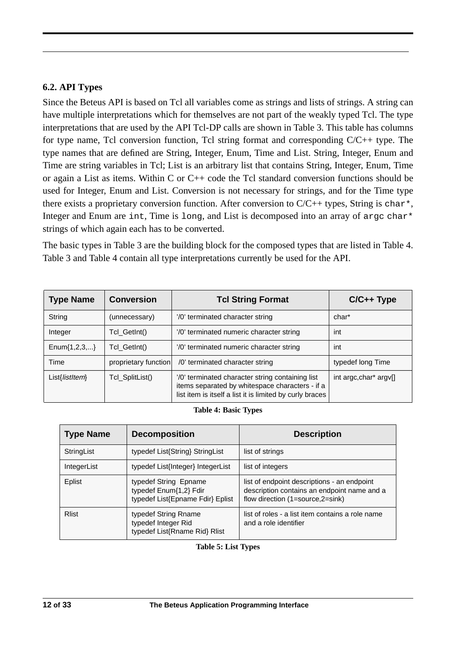#### **6.2. API Types**

Since the Beteus API is based on Tcl all variables come as strings and lists of strings. A string can have multiple interpretations which for themselves are not part of the weakly typed Tcl. The type interpretations that are used by the API Tcl-DP calls are shown in Table 3. This table has columns for type name, Tcl conversion function, Tcl string format and corresponding  $C/C++$  type. The type names that are defined are String, Integer, Enum, Time and List. String, Integer, Enum and Time are string variables in Tcl; List is an arbitrary list that contains String, Integer, Enum, Time or again a List as items. Within C or C++ code the Tcl standard conversion functions should be used for Integer, Enum and List. Conversion is not necessary for strings, and for the Time type there exists a proprietary conversion function. After conversion to  $C/C++$  types, String is char<sup>\*</sup>, Integer and Enum are int, Time is long, and List is decomposed into an array of argc char\* strings of which again each has to be converted.

The basic types in Table 3 are the building block for the composed types that are listed in Table 4. Table 3 and Table 4 contain all type interpretations currently be used for the API.

| <b>Type Name</b>     | <b>Conversion</b>    | <b>Tcl String Format</b>                                                                                                                                        | $C/C++$ Type           |
|----------------------|----------------------|-----------------------------------------------------------------------------------------------------------------------------------------------------------------|------------------------|
| String               | (unnecessary)        | '/0' terminated character string                                                                                                                                | char*                  |
| Integer              | Tcl GetInt()         | '/0' terminated numeric character string                                                                                                                        | int                    |
| Enum $\{1, 2, 3, \}$ | Tcl GetInt()         | '/0' terminated numeric character string                                                                                                                        | int                    |
| Time                 | proprietary function | /0' terminated character string                                                                                                                                 | typedef long Time      |
| List{listItem}       | Tcl_SplitList()      | '/0' terminated character string containing list<br>items separated by whitespace characters - if a<br>list item is itself a list it is limited by curly braces | int argc, char* argv[] |

#### **Table 4: Basic Types**

| <b>Type Name</b> | <b>Decomposition</b>                                                                | <b>Description</b>                                                                                                             |
|------------------|-------------------------------------------------------------------------------------|--------------------------------------------------------------------------------------------------------------------------------|
| StringList       | typedef List{String} StringList                                                     | list of strings                                                                                                                |
| IntegerList      | typedef List{Integer} IntegerList                                                   | list of integers                                                                                                               |
| Eplist           | typedef String Epname<br>typedef Enum{1,2} Fdir<br>typedef List{Epname Fdir} Eplist | list of endpoint descriptions - an endpoint<br>description contains an endpoint name and a<br>flow direction (1=source,2=sink) |
| <b>Rlist</b>     | typedef String Rname<br>typedef Integer Rid<br>typedef List{Rname Rid} Rlist        | list of roles - a list item contains a role name<br>and a role identifier                                                      |

**Table 5: List Types**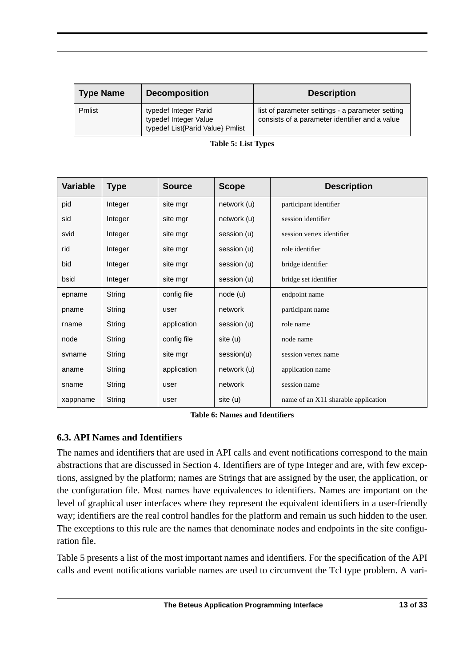| <b>Type Name</b> | <b>Decomposition</b>                                                               | <b>Description</b>                                                                                 |
|------------------|------------------------------------------------------------------------------------|----------------------------------------------------------------------------------------------------|
| Pmlist           | typedef Integer Parid<br>typedef Integer Value<br>typedef List{Parid Value} Pmlist | list of parameter settings - a parameter setting<br>consists of a parameter identifier and a value |

| <b>Variable</b> | <b>Type</b> | <b>Source</b> | <b>Scope</b> | <b>Description</b>                  |
|-----------------|-------------|---------------|--------------|-------------------------------------|
| pid             | Integer     | site mgr      | network (u)  | participant identifier              |
| sid             | Integer     | site mgr      | network (u)  | session identifier                  |
| svid            | Integer     | site mgr      | session (u)  | session vertex identifier           |
| rid             | Integer     | site mgr      | session (u)  | role identifier                     |
| bid             | Integer     | site mgr      | session (u)  | bridge identifier                   |
| bsid            | Integer     | site mgr      | session (u)  | bridge set identifier               |
| epname          | String      | config file   | node (u)     | endpoint name                       |
| pname           | String      | user          | network      | participant name                    |
| rname           | String      | application   | session (u)  | role name                           |
| node            | String      | config file   | site (u)     | node name                           |
| svname          | String      | site mgr      | session(u)   | session vertex name                 |
| aname           | String      | application   | network (u)  | application name                    |
| sname           | String      | user          | network      | session name                        |
| xappname        | String      | user          | site (u)     | name of an X11 sharable application |

#### **Table 5: List Types**

**Table 6: Names and Identifiers**

#### **6.3. API Names and Identifiers**

The names and identifiers that are used in API calls and event notifications correspond to the main abstractions that are discussed in Section 4. Identifiers are of type Integer and are, with few exceptions, assigned by the platform; names are Strings that are assigned by the user, the application, or the configuration file. Most names have equivalences to identifiers. Names are important on the level of graphical user interfaces where they represent the equivalent identifiers in a user-friendly way; identifiers are the real control handles for the platform and remain us such hidden to the user. The exceptions to this rule are the names that denominate nodes and endpoints in the site configuration file.

Table 5 presents a list of the most important names and identifiers. For the specification of the API calls and event notifications variable names are used to circumvent the Tcl type problem. A vari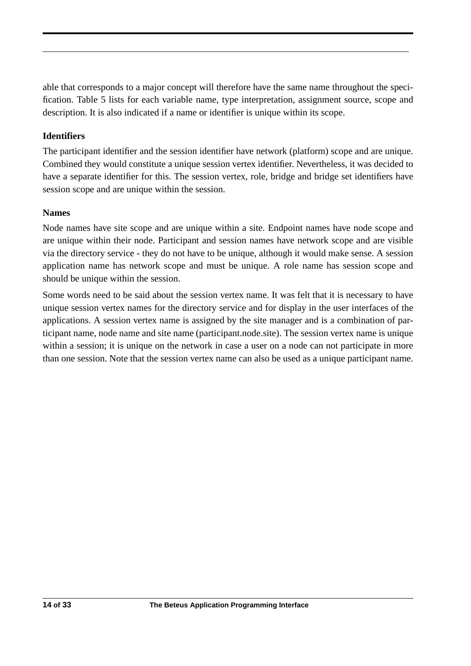able that corresponds to a major concept will therefore have the same name throughout the specification. Table 5 lists for each variable name, type interpretation, assignment source, scope and description. It is also indicated if a name or identifier is unique within its scope.

## **Identifiers**

The participant identifier and the session identifier have network (platform) scope and are unique. Combined they would constitute a unique session vertex identifier. Nevertheless, it was decided to have a separate identifier for this. The session vertex, role, bridge and bridge set identifiers have session scope and are unique within the session.

#### **Names**

Node names have site scope and are unique within a site. Endpoint names have node scope and are unique within their node. Participant and session names have network scope and are visible via the directory service - they do not have to be unique, although it would make sense. A session application name has network scope and must be unique. A role name has session scope and should be unique within the session.

Some words need to be said about the session vertex name. It was felt that it is necessary to have unique session vertex names for the directory service and for display in the user interfaces of the applications. A session vertex name is assigned by the site manager and is a combination of participant name, node name and site name (participant.node.site). The session vertex name is unique within a session; it is unique on the network in case a user on a node can not participate in more than one session. Note that the session vertex name can also be used as a unique participant name.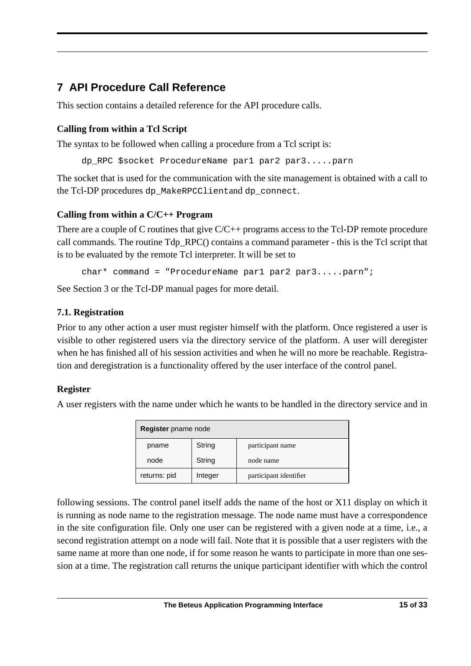# **7 API Procedure Call Reference**

This section contains a detailed reference for the API procedure calls.

## **Calling from within a Tcl Script**

The syntax to be followed when calling a procedure from a Tcl script is:

```
dp_RPC $socket ProcedureName par1 par2 par3.....parn
```
The socket that is used for the communication with the site management is obtained with a call to the Tcl-DP procedures dp\_MakeRPCClientand dp\_connect.

## **Calling from within a C/C++ Program**

There are a couple of C routines that give  $C/C++$  programs access to the Tcl-DP remote procedure call commands. The routine Tdp\_RPC() contains a command parameter - this is the Tcl script that is to be evaluated by the remote Tcl interpreter. It will be set to

char\* command = "ProcedureName par1 par2 par3.....parn";

See Section 3 or the Tcl-DP manual pages for more detail.

## **7.1. Registration**

Prior to any other action a user must register himself with the platform. Once registered a user is visible to other registered users via the directory service of the platform. A user will deregister when he has finished all of his session activities and when he will no more be reachable. Registration and deregistration is a functionality offered by the user interface of the control panel.

## **Register**

A user registers with the name under which he wants to be handled in the directory service and in

| Register pname node |              |         |                        |
|---------------------|--------------|---------|------------------------|
|                     | pname        | String  | participant name       |
|                     | node         | String  | node name              |
|                     | returns: pid | Integer | participant identifier |

following sessions. The control panel itself adds the name of the host or X11 display on which it is running as node name to the registration message. The node name must have a correspondence in the site configuration file. Only one user can be registered with a given node at a time, i.e., a second registration attempt on a node will fail. Note that it is possible that a user registers with the same name at more than one node, if for some reason he wants to participate in more than one session at a time. The registration call returns the unique participant identifier with which the control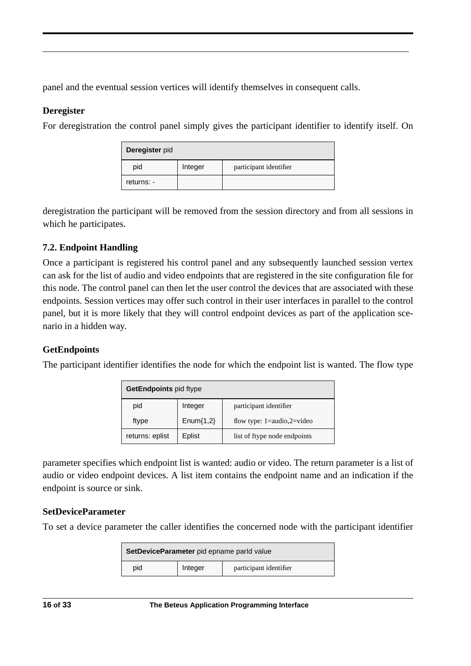panel and the eventual session vertices will identify themselves in consequent calls.

## **Deregister**

For deregistration the control panel simply gives the participant identifier to identify itself. On

| Deregister pid |         |                        |
|----------------|---------|------------------------|
| pid            | Integer | participant identifier |
| returns: -     |         |                        |

deregistration the participant will be removed from the session directory and from all sessions in which he participates.

## **7.2. Endpoint Handling**

Once a participant is registered his control panel and any subsequently launched session vertex can ask for the list of audio and video endpoints that are registered in the site configuration file for this node. The control panel can then let the user control the devices that are associated with these endpoints. Session vertices may offer such control in their user interfaces in parallel to the control panel, but it is more likely that they will control endpoint devices as part of the application scenario in a hidden way.

## **GetEndpoints**

The participant identifier identifies the node for which the endpoint list is wanted. The flow type

| GetEndpoints pid ftype |             |                                                 |
|------------------------|-------------|-------------------------------------------------|
| pid                    | Integer     | participant identifier                          |
| ftype                  | $Enum{1,2}$ | flow type: $1 = \text{audio}, 2 = \text{video}$ |
| returns: eplist        | Eplist      | list of ftype node endpoints                    |

parameter specifies which endpoint list is wanted: audio or video. The return parameter is a list of audio or video endpoint devices. A list item contains the endpoint name and an indication if the endpoint is source or sink.

## **SetDeviceParameter**

To set a device parameter the caller identifies the concerned node with the participant identifier

| SetDeviceParameter pid epname parld value |         |                        |
|-------------------------------------------|---------|------------------------|
| pid                                       | Integer | participant identifier |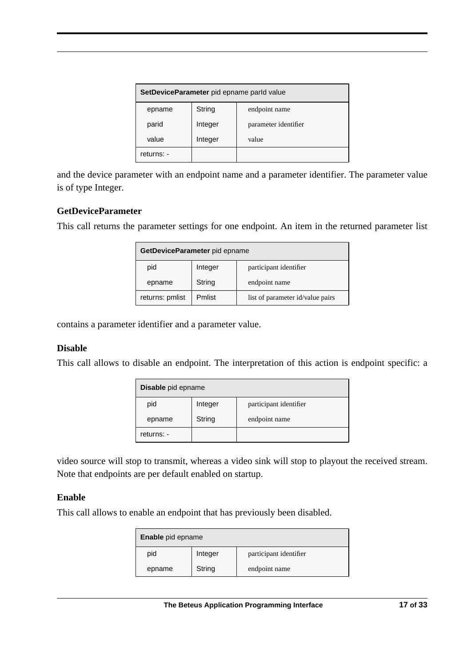| SetDeviceParameter pid epname parld value |         |                      |
|-------------------------------------------|---------|----------------------|
| epname                                    | String  | endpoint name        |
| parid                                     | Integer | parameter identifier |
| value                                     | Integer | value                |
| returns: -                                |         |                      |

and the device parameter with an endpoint name and a parameter identifier. The parameter value is of type Integer.

#### **GetDeviceParameter**

This call returns the parameter settings for one endpoint. An item in the returned parameter list

| GetDeviceParameter pid epname |         |                                  |
|-------------------------------|---------|----------------------------------|
| pid                           | Integer | participant identifier           |
| epname                        | String  | endpoint name                    |
| returns: pmlist               | Pmlist  | list of parameter id/value pairs |

contains a parameter identifier and a parameter value.

#### **Disable**

This call allows to disable an endpoint. The interpretation of this action is endpoint specific: a

| Disable pid epname |         |                        |
|--------------------|---------|------------------------|
| pid                | Integer | participant identifier |
| epname             | String  | endpoint name          |
| returns: -         |         |                        |

video source will stop to transmit, whereas a video sink will stop to playout the received stream. Note that endpoints are per default enabled on startup.

#### **Enable**

This call allows to enable an endpoint that has previously been disabled.

| Enable pid epname |         |                        |
|-------------------|---------|------------------------|
| pid               | Integer | participant identifier |
| epname            | String  | endpoint name          |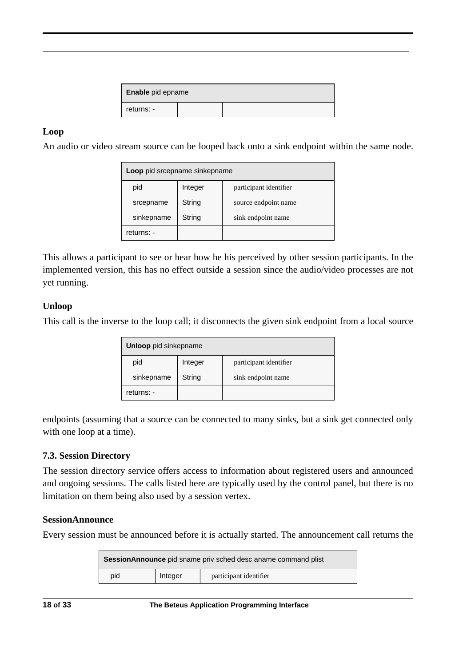| <b>Enable</b> pid epname |  |  |
|--------------------------|--|--|
| returns: -               |  |  |

#### **Loop**

An audio or video stream source can be looped back onto a sink endpoint within the same node.

| Loop pid srcepname sinkepname |         |                        |
|-------------------------------|---------|------------------------|
| pid                           | Integer | participant identifier |
| srcepname                     | String  | source endpoint name   |
| sinkepname                    | String  | sink endpoint name     |
| returns: -                    |         |                        |

This allows a participant to see or hear how he his perceived by other session participants. In the implemented version, this has no effect outside a session since the audio/video processes are not yet running.

#### **Unloop**

This call is the inverse to the loop call; it disconnects the given sink endpoint from a local source

| Unloop pid sinkepname |         |                        |
|-----------------------|---------|------------------------|
| pid                   | Integer | participant identifier |
| sinkepname            | String  | sink endpoint name     |
| returns: -            |         |                        |

endpoints (assuming that a source can be connected to many sinks, but a sink get connected only with one loop at a time).

#### **7.3. Session Directory**

The session directory service offers access to information about registered users and announced and ongoing sessions. The calls listed here are typically used by the control panel, but there is no limitation on them being also used by a session vertex.

#### **SessionAnnounce**

Every session must be announced before it is actually started. The announcement call returns the

| <b>SessionAnnounce</b> pid sname priv sched desc aname command plist |         |                        |
|----------------------------------------------------------------------|---------|------------------------|
| pid                                                                  | Integer | participant identifier |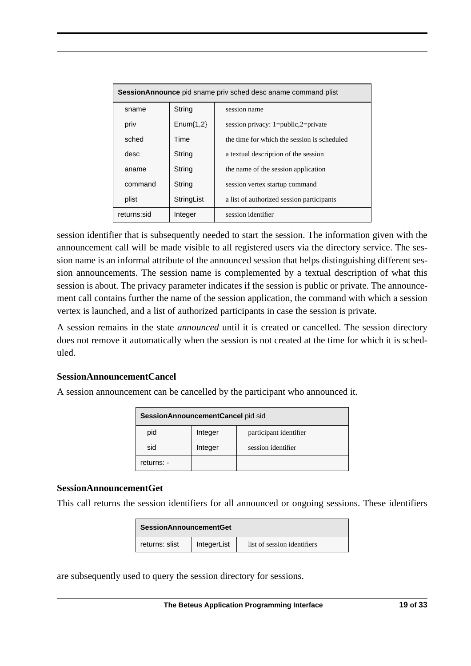| <b>SessionAnnounce</b> pid sname priv sched desc aname command plist |             |                                             |
|----------------------------------------------------------------------|-------------|---------------------------------------------|
| sname                                                                | String      | session name                                |
| priv                                                                 | $Enum{1,2}$ | session privacy: $1 = public, 2 = private$  |
| sched                                                                | Time        | the time for which the session is scheduled |
| desc                                                                 | String      | a textual description of the session        |
| aname                                                                | String      | the name of the session application         |
| command                                                              | String      | session vertex startup command              |
| plist                                                                | StringList  | a list of authorized session participants   |
| returns:sid                                                          | Integer     | session identifier                          |

session identifier that is subsequently needed to start the session. The information given with the announcement call will be made visible to all registered users via the directory service. The session name is an informal attribute of the announced session that helps distinguishing different session announcements. The session name is complemented by a textual description of what this session is about. The privacy parameter indicates if the session is public or private. The announcement call contains further the name of the session application, the command with which a session vertex is launched, and a list of authorized participants in case the session is private.

A session remains in the state *announced* until it is created or cancelled. The session directory does not remove it automatically when the session is not created at the time for which it is scheduled.

#### **SessionAnnouncementCancel**

A session announcement can be cancelled by the participant who announced it.

| SessionAnnouncementCancel pid sid |         |                        |  |
|-----------------------------------|---------|------------------------|--|
| pid                               | Integer | participant identifier |  |
| sid                               | Integer | session identifier     |  |
| returns: -                        |         |                        |  |

#### **SessionAnnouncementGet**

This call returns the session identifiers for all announced or ongoing sessions. These identifiers

| <b>SessionAnnouncementGet</b> |             |                             |
|-------------------------------|-------------|-----------------------------|
| returns: slist                | IntegerList | list of session identifiers |

are subsequently used to query the session directory for sessions.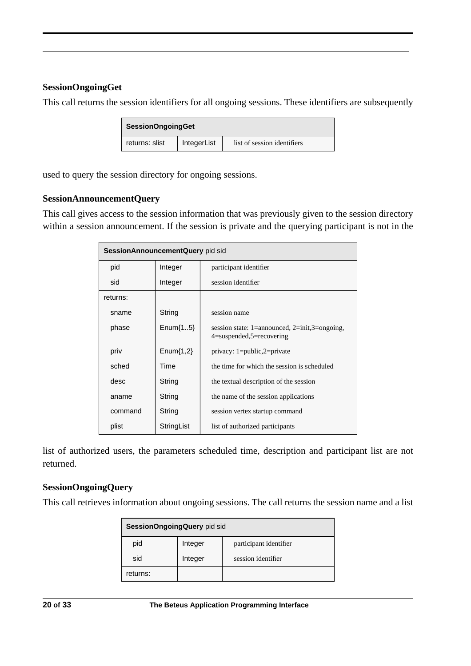#### **SessionOngoingGet**

This call returns the session identifiers for all ongoing sessions. These identifiers are subsequently

| <b>SessionOngoingGet</b> |             |                             |
|--------------------------|-------------|-----------------------------|
| returns: slist           | IntegerList | list of session identifiers |

used to query the session directory for ongoing sessions.

#### **SessionAnnouncementQuery**

This call gives access to the session information that was previously given to the session directory within a session announcement. If the session is private and the querying participant is not in the

| SessionAnnouncementQuery pid sid |             |                                                                               |
|----------------------------------|-------------|-------------------------------------------------------------------------------|
| pid                              | Integer     | participant identifier                                                        |
| sid                              | Integer     | session identifier                                                            |
| returns:                         |             |                                                                               |
| sname                            | String      | session name                                                                  |
| phase                            | $Enum{15}$  | session state: 1=announced, 2=init, 3=ongoing,<br>$4$ =suspended,5=recovering |
| priv                             | $Enum{1,2}$ | privacy: $1 = public, 2 = private$                                            |
| sched                            | Time        | the time for which the session is scheduled                                   |
| desc                             | String      | the textual description of the session                                        |
| aname                            | String      | the name of the session applications                                          |
| command                          | String      | session vertex startup command                                                |
| plist                            | StringList  | list of authorized participants                                               |

list of authorized users, the parameters scheduled time, description and participant list are not returned.

#### **SessionOngoingQuery**

This call retrieves information about ongoing sessions. The call returns the session name and a list

| SessionOngoingQuery pid sid |         |                        |
|-----------------------------|---------|------------------------|
| pid                         | Integer | participant identifier |
| sid                         | Integer | session identifier     |
| returns:                    |         |                        |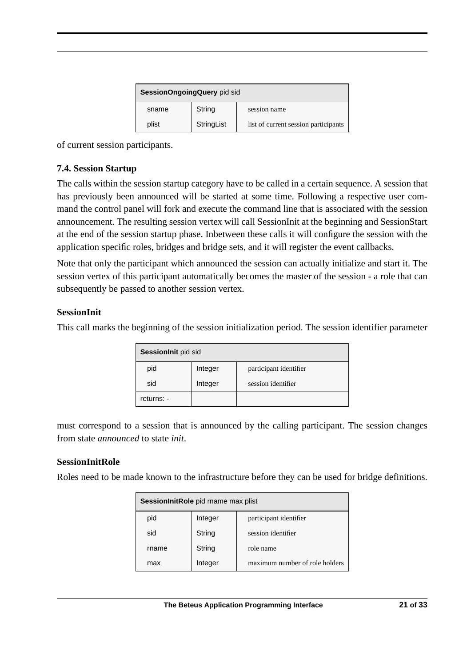| SessionOngoingQuery pid sid |            |                                      |  |
|-----------------------------|------------|--------------------------------------|--|
| sname                       | String     | session name                         |  |
| plist                       | StringList | list of current session participants |  |

of current session participants.

## **7.4. Session Startup**

The calls within the session startup category have to be called in a certain sequence. A session that has previously been announced will be started at some time. Following a respective user command the control panel will fork and execute the command line that is associated with the session announcement. The resulting session vertex will call SessionInit at the beginning and SessionStart at the end of the session startup phase. Inbetween these calls it will configure the session with the application specific roles, bridges and bridge sets, and it will register the event callbacks.

Note that only the participant which announced the session can actually initialize and start it. The session vertex of this participant automatically becomes the master of the session - a role that can subsequently be passed to another session vertex.

#### **SessionInit**

This call marks the beginning of the session initialization period. The session identifier parameter

| SessionInit pid sid |         |                        |
|---------------------|---------|------------------------|
| pid                 | Integer | participant identifier |
| sid                 | Integer | session identifier     |
| returns: -          |         |                        |

must correspond to a session that is announced by the calling participant. The session changes from state *announced* to state *init*.

#### **SessionInitRole**

Roles need to be made known to the infrastructure before they can be used for bridge definitions.

| SessionInitRole pid rname max plist |         |                                |
|-------------------------------------|---------|--------------------------------|
| pid                                 | Integer | participant identifier         |
| sid                                 | String  | session identifier             |
| rname                               | String  | role name                      |
| max                                 | Integer | maximum number of role holders |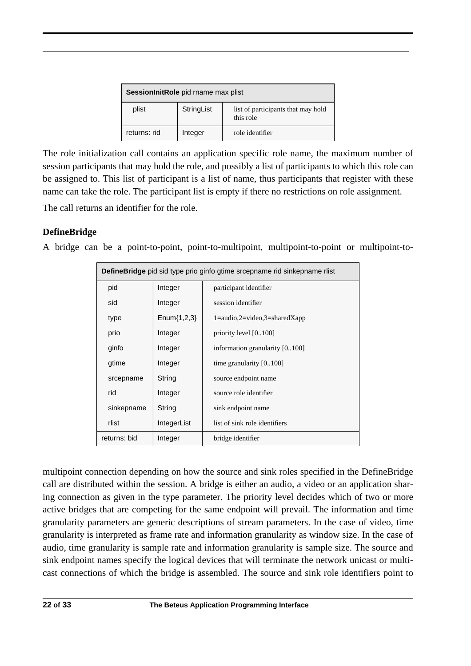| SessionInitRole pid rname max plist |            |                                                 |
|-------------------------------------|------------|-------------------------------------------------|
| plist                               | StringList | list of participants that may hold<br>this role |
| returns: rid                        | Integer    | role identifier                                 |

The role initialization call contains an application specific role name, the maximum number of session participants that may hold the role, and possibly a list of participants to which this role can be assigned to. This list of participant is a list of name, thus participants that register with these name can take the role. The participant list is empty if there no restrictions on role assignment.

The call returns an identifier for the role.

## **DefineBridge**

A bridge can be a point-to-point, point-to-multipoint, multipoint-to-point or multipoint-to-

| <b>DefineBridge</b> pid sid type prio ginfo gtime srcepname rid sinkepname rlist |                  |                                                             |
|----------------------------------------------------------------------------------|------------------|-------------------------------------------------------------|
| pid                                                                              | Integer          | participant identifier                                      |
| sid                                                                              | Integer          | session identifier                                          |
| type                                                                             | Enum $\{1,2,3\}$ | $1 = \text{audio}, 2 = \text{video}, 3 = \text{sharedXapp}$ |
| prio                                                                             | Integer          | priority level $[0100]$                                     |
| ginfo                                                                            | Integer          | information granularity [0.100]                             |
| gtime                                                                            | Integer          | time granularity $[0100]$                                   |
| srcepname                                                                        | String           | source endpoint name                                        |
| rid                                                                              | Integer          | source role identifier                                      |
| sinkepname                                                                       | String           | sink endpoint name                                          |
| rlist                                                                            | IntegerList      | list of sink role identifiers                               |
| returns: bid                                                                     | Integer          | bridge identifier                                           |

multipoint connection depending on how the source and sink roles specified in the DefineBridge call are distributed within the session. A bridge is either an audio, a video or an application sharing connection as given in the type parameter. The priority level decides which of two or more active bridges that are competing for the same endpoint will prevail. The information and time granularity parameters are generic descriptions of stream parameters. In the case of video, time granularity is interpreted as frame rate and information granularity as window size. In the case of audio, time granularity is sample rate and information granularity is sample size. The source and sink endpoint names specify the logical devices that will terminate the network unicast or multicast connections of which the bridge is assembled. The source and sink role identifiers point to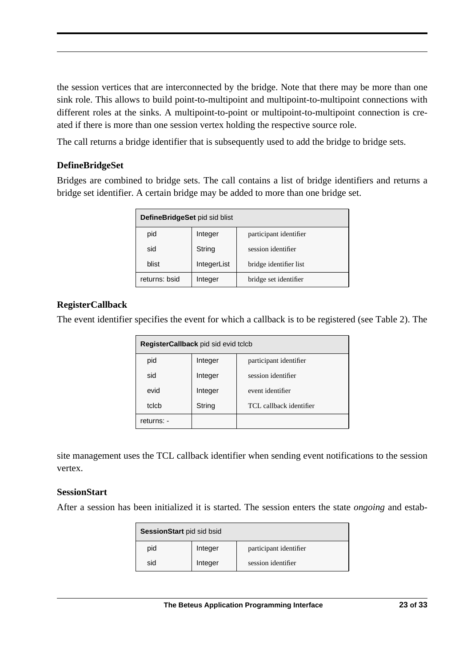the session vertices that are interconnected by the bridge. Note that there may be more than one sink role. This allows to build point-to-multipoint and multipoint-to-multipoint connections with different roles at the sinks. A multipoint-to-point or multipoint-to-multipoint connection is created if there is more than one session vertex holding the respective source role.

The call returns a bridge identifier that is subsequently used to add the bridge to bridge sets.

## **DefineBridgeSet**

Bridges are combined to bridge sets. The call contains a list of bridge identifiers and returns a bridge set identifier. A certain bridge may be added to more than one bridge set.

| DefineBridgeSet pid sid blist |             |                        |
|-------------------------------|-------------|------------------------|
| pid                           | Integer     | participant identifier |
| sid                           | String      | session identifier     |
| blist                         | IntegerList | bridge identifier list |
| returns: bsid                 | Integer     | bridge set identifier  |

#### **RegisterCallback**

The event identifier specifies the event for which a callback is to be registered (see Table 2). The

| RegisterCallback pid sid evid tclcb |         |                         |  |
|-------------------------------------|---------|-------------------------|--|
| pid                                 | Integer | participant identifier  |  |
| sid                                 | Integer | session identifier      |  |
| evid                                | Integer | event identifier        |  |
| tclcb                               | String  | TCL callback identifier |  |
| returns: -                          |         |                         |  |

site management uses the TCL callback identifier when sending event notifications to the session vertex.

#### **SessionStart**

After a session has been initialized it is started. The session enters the state *ongoing* and estab-

| <b>SessionStart</b> pid sid bsid |         |                        |
|----------------------------------|---------|------------------------|
| pid                              | Integer | participant identifier |
| sid                              | Integer | session identifier     |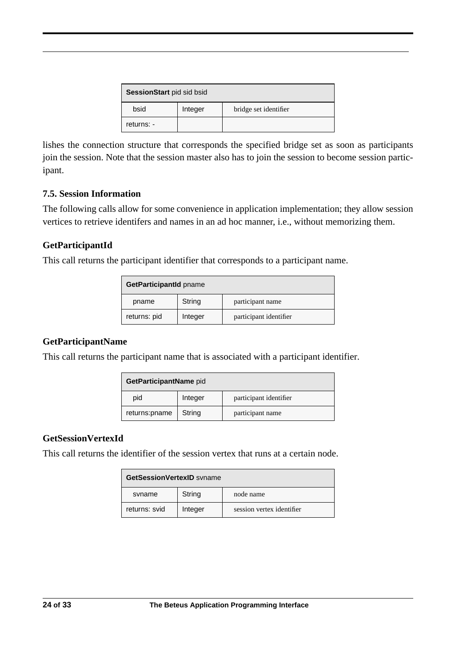| <b>SessionStart</b> pid sid bsid |         |                       |
|----------------------------------|---------|-----------------------|
| bsid                             | Integer | bridge set identifier |
| returns: -                       |         |                       |

lishes the connection structure that corresponds the specified bridge set as soon as participants join the session. Note that the session master also has to join the session to become session participant.

#### **7.5. Session Information**

The following calls allow for some convenience in application implementation; they allow session vertices to retrieve identifers and names in an ad hoc manner, i.e., without memorizing them.

## **GetParticipantId**

This call returns the participant identifier that corresponds to a participant name.

| GetParticipantId pname |         |                        |
|------------------------|---------|------------------------|
| pname                  | String  | participant name       |
| returns: pid           | Integer | participant identifier |

## **GetParticipantName**

This call returns the participant name that is associated with a participant identifier.

| GetParticipantName pid |         |                        |
|------------------------|---------|------------------------|
| pid                    | Integer | participant identifier |
| returns:pname          | String  | participant name       |

## **GetSessionVertexId**

This call returns the identifier of the session vertex that runs at a certain node.

| <b>GetSessionVertexID</b> syname |         |                           |
|----------------------------------|---------|---------------------------|
| syname                           | String  | node name                 |
| returns: svid                    | Integer | session vertex identifier |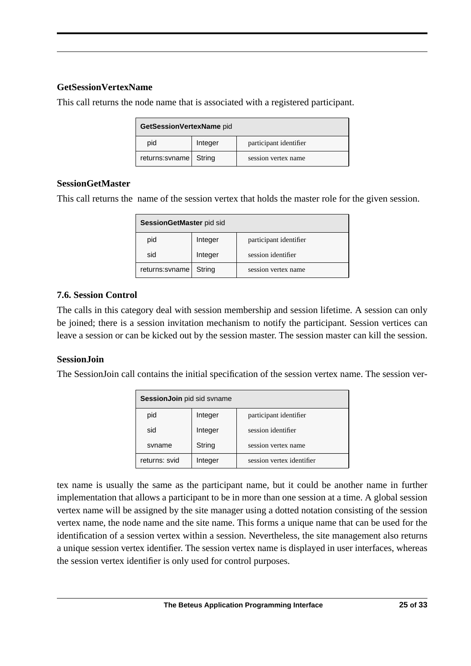#### **GetSessionVertexName**

This call returns the node name that is associated with a registered participant.

| GetSessionVertexName pid |         |                        |
|--------------------------|---------|------------------------|
| pid                      | Integer | participant identifier |
| $returns:$ svname        | String  | session vertex name    |

#### **SessionGetMaster**

This call returns the name of the session vertex that holds the master role for the given session.

| SessionGetMaster pid sid |         |                        |
|--------------------------|---------|------------------------|
| pid                      | Integer | participant identifier |
| sid                      | Integer | session identifier     |
| returns:svname           | String  | session vertex name    |

## **7.6. Session Control**

The calls in this category deal with session membership and session lifetime. A session can only be joined; there is a session invitation mechanism to notify the participant. Session vertices can leave a session or can be kicked out by the session master. The session master can kill the session.

## **SessionJoin**

The SessionJoin call contains the initial specification of the session vertex name. The session ver-

| SessionJoin pid sid svname |         |                           |
|----------------------------|---------|---------------------------|
| pid                        | Integer | participant identifier    |
| sid                        | Integer | session identifier        |
| syname                     | String  | session vertex name       |
| returns: svid              | Integer | session vertex identifier |

tex name is usually the same as the participant name, but it could be another name in further implementation that allows a participant to be in more than one session at a time. A global session vertex name will be assigned by the site manager using a dotted notation consisting of the session vertex name, the node name and the site name. This forms a unique name that can be used for the identification of a session vertex within a session. Nevertheless, the site management also returns a unique session vertex identifier. The session vertex name is displayed in user interfaces, whereas the session vertex identifier is only used for control purposes.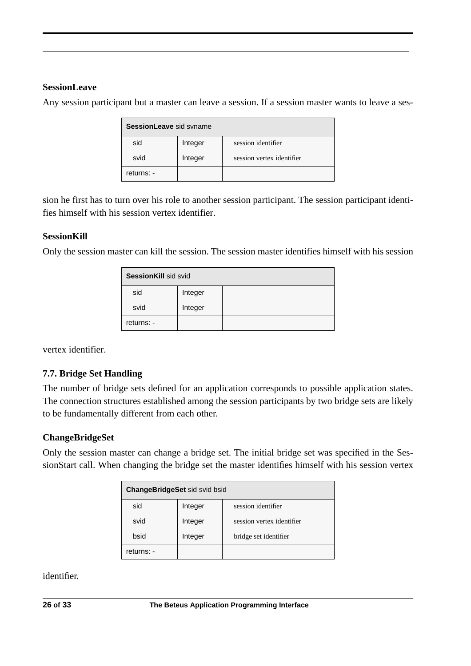#### **SessionLeave**

Any session participant but a master can leave a session. If a session master wants to leave a ses-

| <b>SessionLeave</b> sid syname |         |                           |
|--------------------------------|---------|---------------------------|
| sid                            | Integer | session identifier        |
| svid                           | Integer | session vertex identifier |
| returns: -                     |         |                           |

sion he first has to turn over his role to another session participant. The session participant identifies himself with his session vertex identifier.

#### **SessionKill**

Only the session master can kill the session. The session master identifies himself with his session

| <b>SessionKill sid svid</b> |         |  |
|-----------------------------|---------|--|
| sid                         | Integer |  |
| svid                        | Integer |  |
| returns: -                  |         |  |

vertex identifier.

## **7.7. Bridge Set Handling**

The number of bridge sets defined for an application corresponds to possible application states. The connection structures established among the session participants by two bridge sets are likely to be fundamentally different from each other.

#### **ChangeBridgeSet**

Only the session master can change a bridge set. The initial bridge set was specified in the SessionStart call. When changing the bridge set the master identifies himself with his session vertex

| <b>ChangeBridgeSet sid svid bsid</b> |         |                           |
|--------------------------------------|---------|---------------------------|
| sid                                  | Integer | session identifier        |
| svid                                 | Integer | session vertex identifier |
| bsid                                 | Integer | bridge set identifier     |
| returns: -                           |         |                           |

identifier.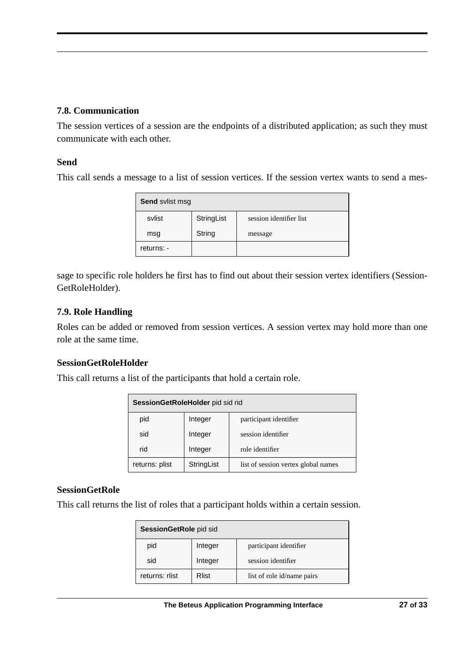#### **7.8. Communication**

The session vertices of a session are the endpoints of a distributed application; as such they must communicate with each other.

#### **Send**

This call sends a message to a list of session vertices. If the session vertex wants to send a mes-

| Send svlist msg |            |                         |
|-----------------|------------|-------------------------|
| svlist          | StringList | session identifier list |
| msg             | String     | message                 |
| returns: -      |            |                         |

sage to specific role holders he first has to find out about their session vertex identifiers (Session-GetRoleHolder).

#### **7.9. Role Handling**

Roles can be added or removed from session vertices. A session vertex may hold more than one role at the same time.

#### **SessionGetRoleHolder**

This call returns a list of the participants that hold a certain role.

| SessionGetRoleHolder pid sid rid |            |                                     |
|----------------------------------|------------|-------------------------------------|
| pid                              | Integer    | participant identifier              |
| sid                              | Integer    | session identifier                  |
| rid                              | Integer    | role identifier                     |
| returns: plist                   | StringList | list of session vertex global names |

#### **SessionGetRole**

This call returns the list of roles that a participant holds within a certain session.

| SessionGetRole pid sid |         |                            |
|------------------------|---------|----------------------------|
| pid                    | Integer | participant identifier     |
| sid                    | Integer | session identifier         |
| returns: rlist         | Rlist   | list of role id/name pairs |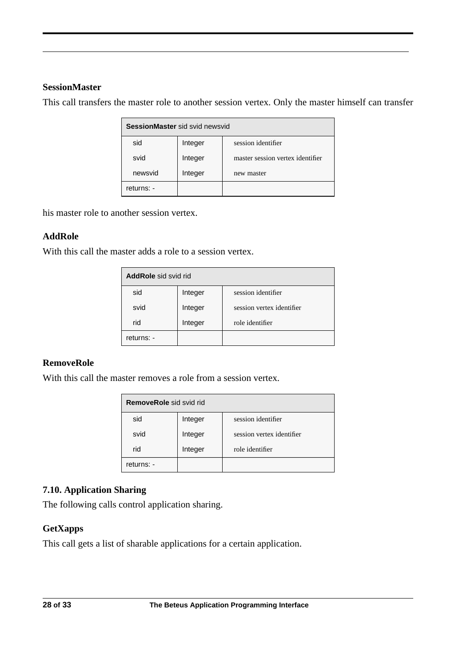#### **SessionMaster**

This call transfers the master role to another session vertex. Only the master himself can transfer

| SessionMaster sid svid newsvid |         |                                  |
|--------------------------------|---------|----------------------------------|
| sid                            | Integer | session identifier               |
| svid                           | Integer | master session vertex identifier |
| newsvid                        | Integer | new master                       |
| returns: -                     |         |                                  |

his master role to another session vertex.

#### **AddRole**

With this call the master adds a role to a session vertex.

| <b>AddRole</b> sid svid rid |         |                           |
|-----------------------------|---------|---------------------------|
| sid                         | Integer | session identifier        |
| svid                        | Integer | session vertex identifier |
| rid                         | Integer | role identifier           |
| returns: -                  |         |                           |

#### **RemoveRole**

With this call the master removes a role from a session vertex.

| <b>RemoveRole</b> sid svid rid |         |                           |
|--------------------------------|---------|---------------------------|
| sid                            | Integer | session identifier        |
| svid                           | Integer | session vertex identifier |
| rid                            | Integer | role identifier           |
| returns: -                     |         |                           |

## **7.10. Application Sharing**

The following calls control application sharing.

#### **GetXapps**

This call gets a list of sharable applications for a certain application.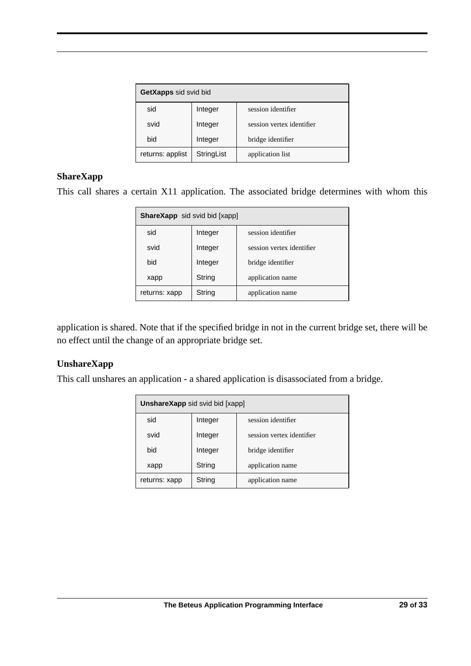| GetXapps sid svid bid |            |                           |
|-----------------------|------------|---------------------------|
| sid                   | Integer    | session identifier        |
| svid                  | Integer    | session vertex identifier |
| bid                   | Integer    | bridge identifier         |
| returns: applist      | StringList | application list          |

#### **ShareXapp**

This call shares a certain X11 application. The associated bridge determines with whom this

| <b>ShareXapp</b> sid svid bid [xapp] |         |                           |
|--------------------------------------|---------|---------------------------|
| sid                                  | Integer | session identifier        |
| svid                                 | Integer | session vertex identifier |
| bid                                  | Integer | bridge identifier         |
| xapp                                 | String  | application name          |
| returns: xapp                        | String  | application name          |

application is shared. Note that if the specified bridge in not in the current bridge set, there will be no effect until the change of an appropriate bridge set.

#### **UnshareXapp**

This call unshares an application - a shared application is disassociated from a bridge.

| <b>UnshareXapp</b> sid svid bid [xapp] |         |                           |
|----------------------------------------|---------|---------------------------|
| sid                                    | Integer | session identifier        |
| svid                                   | Integer | session vertex identifier |
| bid                                    | Integer | bridge identifier         |
| xapp                                   | String  | application name          |
| returns: xapp                          | String  | application name          |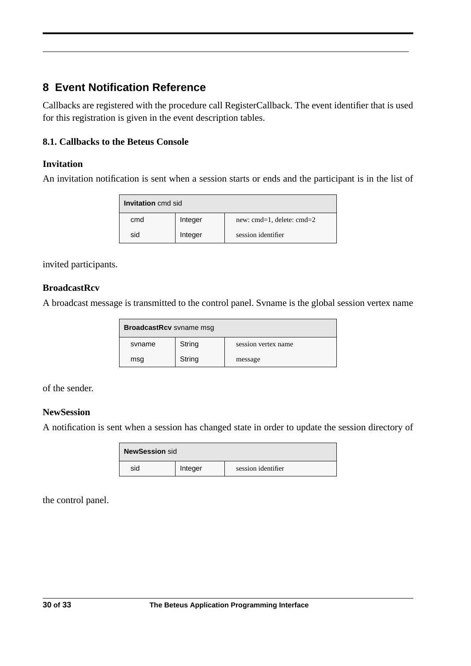# **8 Event Notification Reference**

Callbacks are registered with the procedure call RegisterCallback. The event identifier that is used for this registration is given in the event description tables.

## **8.1. Callbacks to the Beteus Console**

## **Invitation**

An invitation notification is sent when a session starts or ends and the participant is in the list of

| <b>Invitation</b> cmd sid |     |         |                                |
|---------------------------|-----|---------|--------------------------------|
|                           | cmd | Integer | new: $cmd=1$ , delete: $cmd=2$ |
|                           | sid | Integer | session identifier             |

invited participants.

#### **BroadcastRcv**

A broadcast message is transmitted to the control panel. Svname is the global session vertex name

| <b>BroadcastRcv</b> svname msg |        |                     |
|--------------------------------|--------|---------------------|
| syname                         | String | session vertex name |
| msg                            | String | message             |

of the sender.

## **NewSession**

A notification is sent when a session has changed state in order to update the session directory of

| NewSession sid |         |                    |
|----------------|---------|--------------------|
| sid            | Integer | session identifier |

the control panel.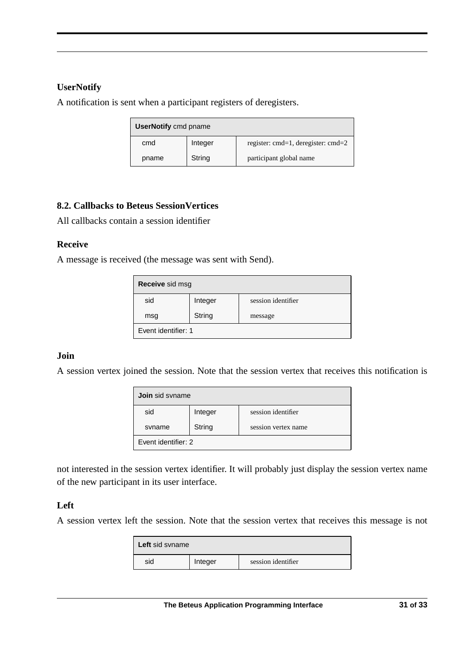#### **UserNotify**

A notification is sent when a participant registers of deregisters.

| <b>UserNotify cmd pname</b> |         |                                    |
|-----------------------------|---------|------------------------------------|
| cmd                         | Integer | register: cmd=1, deregister: cmd=2 |
| pname                       | String  | participant global name            |

## **8.2. Callbacks to Beteus SessionVertices**

All callbacks contain a session identifier

#### **Receive**

A message is received (the message was sent with Send).

| Receive sid msg     |         |                    |
|---------------------|---------|--------------------|
| sid                 | Integer | session identifier |
| msg                 | String  | message            |
| Event identifier: 1 |         |                    |

#### **Join**

A session vertex joined the session. Note that the session vertex that receives this notification is

| <b>Join</b> sid syname |         |                     |
|------------------------|---------|---------------------|
| sid                    | Integer | session identifier  |
| syname                 | String  | session vertex name |
| Event identifier: 2    |         |                     |

not interested in the session vertex identifier. It will probably just display the session vertex name of the new participant in its user interface.

## **Left**

A session vertex left the session. Note that the session vertex that receives this message is not

| <b>Left</b> sid syname |         |                    |
|------------------------|---------|--------------------|
| sid                    | Integer | session identifier |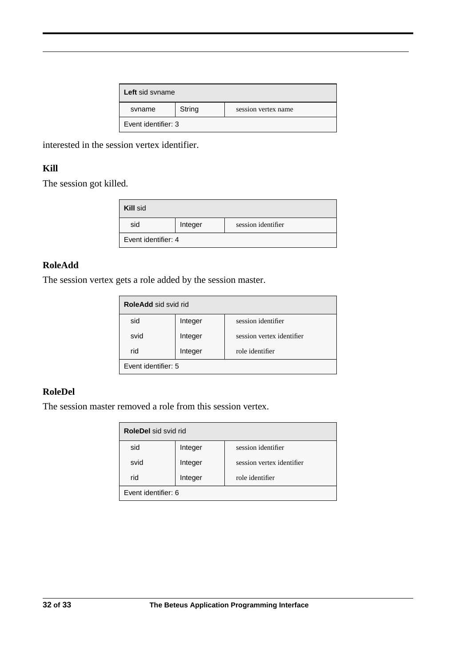| Left sid syname     |        |                     |
|---------------------|--------|---------------------|
| syname              | String | session vertex name |
| Event identifier: 3 |        |                     |

interested in the session vertex identifier.

## **Kill**

The session got killed.

| <b>Kill sid</b>     |         |                    |
|---------------------|---------|--------------------|
| sid                 | Integer | session identifier |
| Event identifier: 4 |         |                    |

#### **RoleAdd**

The session vertex gets a role added by the session master.

| <b>RoleAdd sid svid rid</b> |         |                           |
|-----------------------------|---------|---------------------------|
| sid                         | Integer | session identifier        |
| svid                        | Integer | session vertex identifier |
| rid                         | Integer | role identifier           |
| Event identifier: 5         |         |                           |

#### **RoleDel**

The session master removed a role from this session vertex.

| <b>RoleDel</b> sid svid rid |         |                           |
|-----------------------------|---------|---------------------------|
| sid                         | Integer | session identifier        |
| svid                        | Integer | session vertex identifier |
| rid                         | Integer | role identifier           |
| Event identifier: 6         |         |                           |